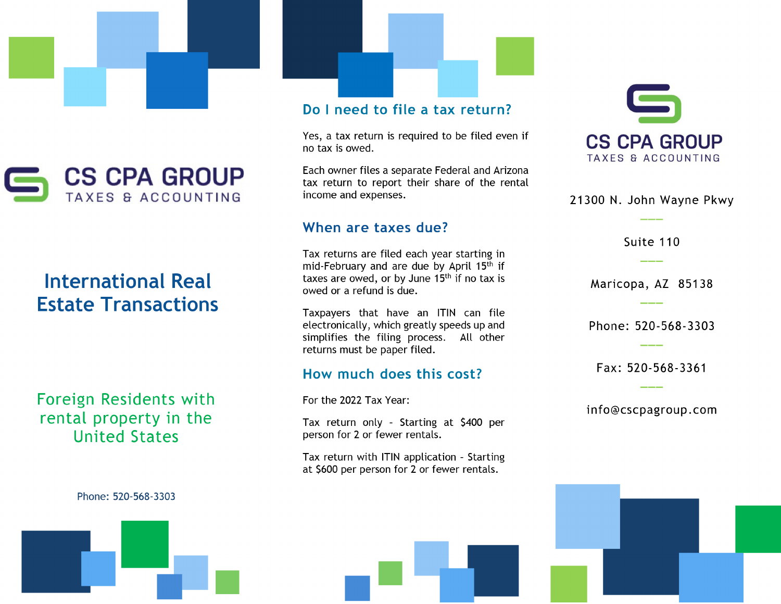



#### tatarnational Real med macro **Estate Transactions**

Foreign Residents with rental property in the **United States** 

Do I need to file a tax return?

Yes, a tax return is required to be filed even if no tax is owed.

Each owner files a separate Federal and Arizona<br>tax return to report their share of the rental income and expenses.

#### Suite 110 **\_\_\_**

Tax returns are filed each year starting in<br>mid-February and are due by April 15<sup>th</sup> if taxes are owed, or by June 15<sup>th</sup> if no tax is owed or a refund is due.

Taxpayers that have an ITIN can file<br>electronically, which greatly speeds up and simplifies the filing process. All other returns must be paper filed.

#### How much does this cost?  $\ddot{\phantom{a}}$  in the contract  $\ddot{\phantom{a}}$  and  $\ddot{\phantom{a}}$  and  $\ddot{\phantom{a}}$

For the 2022 Tax Year:

Tax return only - Starting at \$400 per person for 2 or fewer rentals.

Tax return with ITIN application - Starting at \$600 per person for 2 or fewer rentals.



21300 N. John Wayne Pkwy

Suite 110

Maricopa, AZ 85138

**Estate Transactions**

Phone: 520-568-3303

Fax: 520-568-3361

 $\mathbf{F}_{\mathbf{r}}$  is a set of  $\mathbf{r}$  in the side of  $\mathbf{r}$ rmo@cscpagroup.com

Phone: 520-568-3303

Phone: 520-568-3303